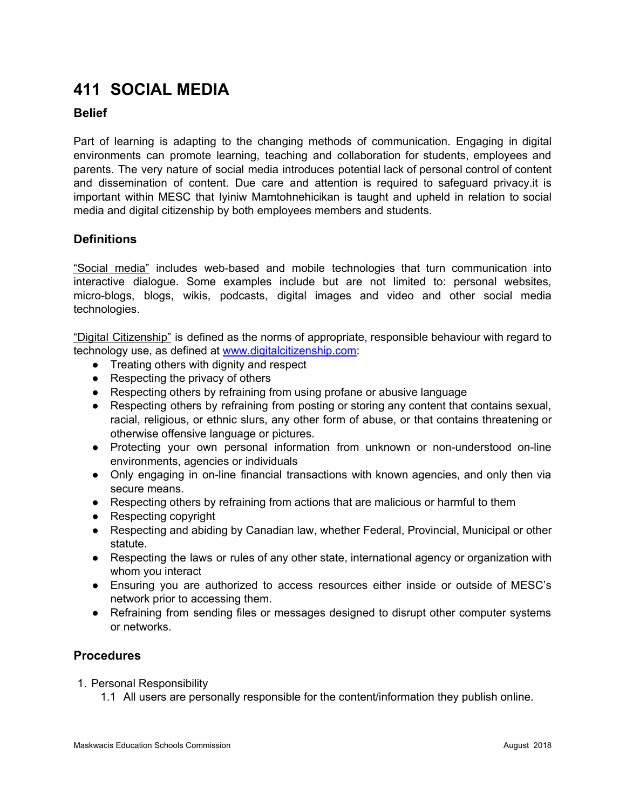# **411 SOCIAL MEDIA**

## **Belief**

Part of learning is adapting to the changing methods of communication. Engaging in digital environments can promote learning, teaching and collaboration for students, employees and parents. The very nature of social media introduces potential lack of personal control of content and dissemination of content. Due care and attention is required to safeguard privacy.it is important within MESC that Iyiniw Mamtohnehicikan is taught and upheld in relation to social media and digital citizenship by both employees members and students.

# **Definitions**

"Social media" includes web-based and mobile technologies that turn communication into interactive dialogue. Some examples include but are not limited to: personal websites, micro-blogs, blogs, wikis, podcasts, digital images and video and other social media technologies.

"Digital Citizenship" is defined as the norms of appropriate, responsible behaviour with regard to technology use, as defined at [www.digitalcitizenship.com:](http://www.digitalcitizenship.com/)

- Treating others with dignity and respect
- Respecting the privacy of others
- Respecting others by refraining from using profane or abusive language
- Respecting others by refraining from posting or storing any content that contains sexual, racial, religious, or ethnic slurs, any other form of abuse, or that contains threatening or otherwise offensive language or pictures.
- Protecting your own personal information from unknown or non-understood on-line environments, agencies or individuals
- Only engaging in on-line financial transactions with known agencies, and only then via secure means.
- Respecting others by refraining from actions that are malicious or harmful to them
- Respecting copyright
- Respecting and abiding by Canadian law, whether Federal, Provincial, Municipal or other statute.
- Respecting the laws or rules of any other state, international agency or organization with whom you interact
- Ensuring you are authorized to access resources either inside or outside of MESC's network prior to accessing them.
- Refraining from sending files or messages designed to disrupt other computer systems or networks.

## **Procedures**

- 1. Personal Responsibility
	- 1.1 All users are personally responsible for the content/information they publish online.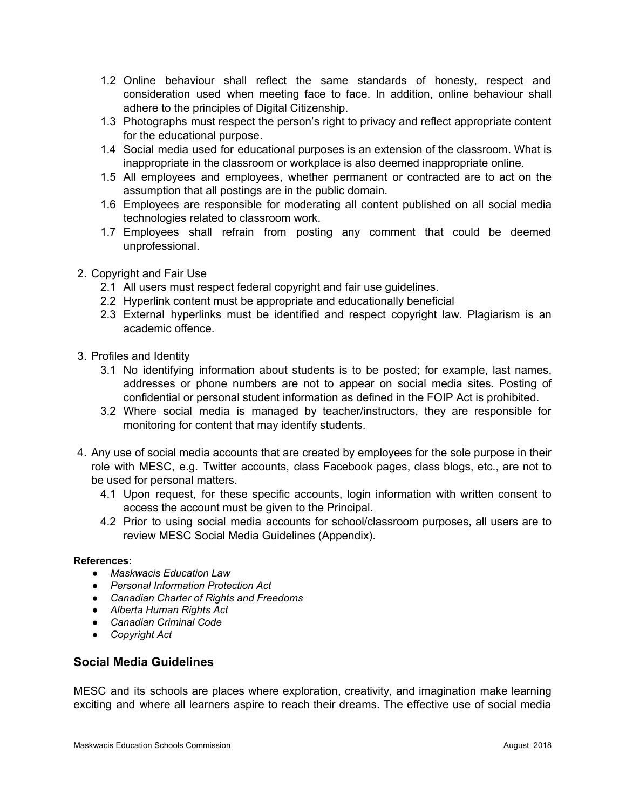- 1.2 Online behaviour shall reflect the same standards of honesty, respect and consideration used when meeting face to face. In addition, online behaviour shall adhere to the principles of Digital Citizenship.
- 1.3 Photographs must respect the person's right to privacy and reflect appropriate content for the educational purpose.
- 1.4 Social media used for educational purposes is an extension of the classroom. What is inappropriate in the classroom or workplace is also deemed inappropriate online.
- 1.5 All employees and employees, whether permanent or contracted are to act on the assumption that all postings are in the public domain.
- 1.6 Employees are responsible for moderating all content published on all social media technologies related to classroom work.
- 1.7 Employees shall refrain from posting any comment that could be deemed unprofessional.
- 2. Copyright and Fair Use
	- 2.1 All users must respect federal copyright and fair use guidelines.
	- 2.2 Hyperlink content must be appropriate and educationally beneficial
	- 2.3 External hyperlinks must be identified and respect copyright law. Plagiarism is an academic offence.
- 3. Profiles and Identity
	- 3.1 No identifying information about students is to be posted; for example, last names, addresses or phone numbers are not to appear on social media sites. Posting of confidential or personal student information as defined in the FOIP Act is prohibited.
	- 3.2 Where social media is managed by teacher/instructors, they are responsible for monitoring for content that may identify students.
- 4. Any use of social media accounts that are created by employees for the sole purpose in their role with MESC, e.g. Twitter accounts, class Facebook pages, class blogs, etc., are not to be used for personal matters.
	- 4.1 Upon request, for these specific accounts, login information with written consent to access the account must be given to the Principal.
	- 4.2 Prior to using social media accounts for school/classroom purposes, all users are to review MESC Social Media Guidelines (Appendix).

#### **References:**

- *Maskwacis Education Law*
- *Personal Information Protection Act*
- *Canadian Charter of Rights and Freedoms*
- *Alberta Human Rights Act*
- *Canadian Criminal Code*
- *Copyright Act*

## **Social Media Guidelines**

MESC and its schools are places where exploration, creativity, and imagination make learning exciting and where all learners aspire to reach their dreams. The effective use of social media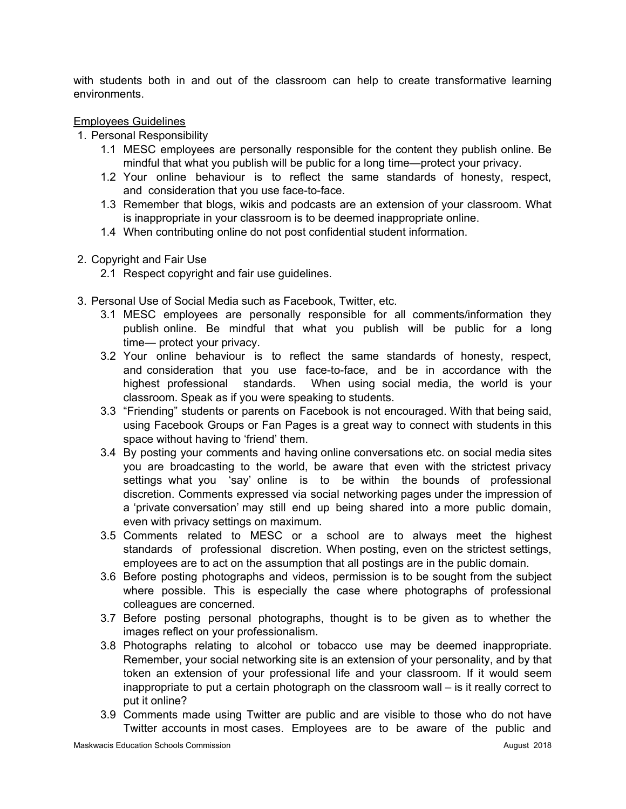with students both in and out of the classroom can help to create transformative learning environments.

## Employees Guidelines

- 1. Personal Responsibility
	- 1.1 MESC employees are personally responsible for the content they publish online. Be mindful that what you publish will be public for a long time—protect your privacy.
	- 1.2 Your online behaviour is to reflect the same standards of honesty, respect, and consideration that you use face-to-face.
	- 1.3 Remember that blogs, wikis and podcasts are an extension of your classroom. What is inappropriate in your classroom is to be deemed inappropriate online.
	- 1.4 When contributing online do not post confidential student information.
- 2. Copyright and Fair Use
	- 2.1 Respect copyright and fair use guidelines.
- 3. Personal Use of Social Media such as Facebook, Twitter, etc.
	- 3.1 MESC employees are personally responsible for all comments/information they publish online. Be mindful that what you publish will be public for a long time— protect your privacy.
	- 3.2 Your online behaviour is to reflect the same standards of honesty, respect, and consideration that you use face-to-face, and be in accordance with the highest professional standards. When using social media, the world is your classroom. Speak as if you were speaking to students.
	- 3.3 "Friending" students or parents on Facebook is not encouraged. With that being said, using Facebook Groups or Fan Pages is a great way to connect with students in this space without having to 'friend' them.
	- 3.4 By posting your comments and having online conversations etc. on social media sites you are broadcasting to the world, be aware that even with the strictest privacy settings what you 'say' online is to be within the bounds of professional discretion. Comments expressed via social networking pages under the impression of a 'private conversation' may still end up being shared into a more public domain, even with privacy settings on maximum.
	- 3.5 Comments related to MESC or a school are to always meet the highest standards of professional discretion. When posting, even on the strictest settings, employees are to act on the assumption that all postings are in the public domain.
	- 3.6 Before posting photographs and videos, permission is to be sought from the subject where possible. This is especially the case where photographs of professional colleagues are concerned.
	- 3.7 Before posting personal photographs, thought is to be given as to whether the images reflect on your professionalism.
	- 3.8 Photographs relating to alcohol or tobacco use may be deemed inappropriate. Remember, your social networking site is an extension of your personality, and by that token an extension of your professional life and your classroom. If it would seem inappropriate to put a certain photograph on the classroom wall – is it really correct to put it online?
	- 3.9 Comments made using Twitter are public and are visible to those who do not have Twitter accounts in most cases. Employees are to be aware of the public and